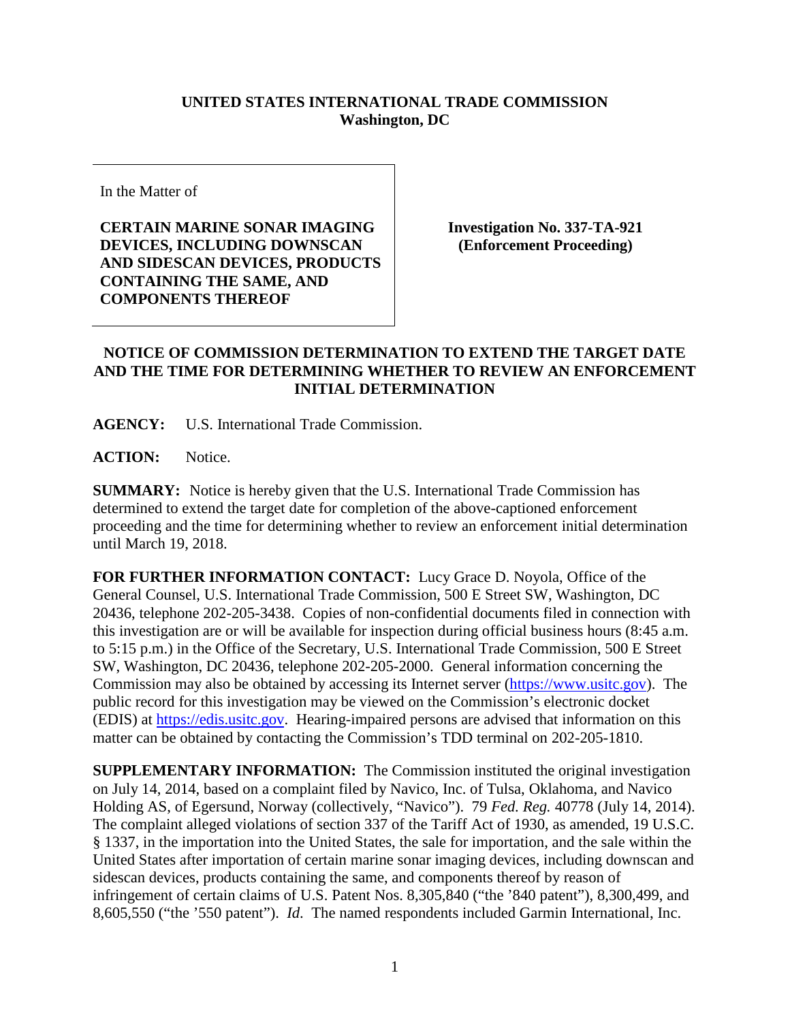## **UNITED STATES INTERNATIONAL TRADE COMMISSION Washington, DC**

In the Matter of

**CERTAIN MARINE SONAR IMAGING DEVICES, INCLUDING DOWNSCAN AND SIDESCAN DEVICES, PRODUCTS CONTAINING THE SAME, AND COMPONENTS THEREOF**

**Investigation No. 337-TA-921 (Enforcement Proceeding)**

## **NOTICE OF COMMISSION DETERMINATION TO EXTEND THE TARGET DATE AND THE TIME FOR DETERMINING WHETHER TO REVIEW AN ENFORCEMENT INITIAL DETERMINATION**

**AGENCY:** U.S. International Trade Commission.

**ACTION:** Notice.

**SUMMARY:** Notice is hereby given that the U.S. International Trade Commission has determined to extend the target date for completion of the above-captioned enforcement proceeding and the time for determining whether to review an enforcement initial determination until March 19, 2018.

**FOR FURTHER INFORMATION CONTACT:** Lucy Grace D. Noyola, Office of the General Counsel, U.S. International Trade Commission, 500 E Street SW, Washington, DC 20436, telephone 202-205-3438. Copies of non-confidential documents filed in connection with this investigation are or will be available for inspection during official business hours (8:45 a.m. to 5:15 p.m.) in the Office of the Secretary, U.S. International Trade Commission, 500 E Street SW, Washington, DC 20436, telephone 202-205-2000. General information concerning the Commission may also be obtained by accessing its Internet server [\(https://www.usitc.gov\)](https://www.usitc.gov/). The public record for this investigation may be viewed on the Commission's electronic docket (EDIS) at [https://edis.usitc.gov.](https://edis.usitc.gov/) Hearing-impaired persons are advised that information on this matter can be obtained by contacting the Commission's TDD terminal on 202-205-1810.

**SUPPLEMENTARY INFORMATION:** The Commission instituted the original investigation on July 14, 2014, based on a complaint filed by Navico, Inc. of Tulsa, Oklahoma, and Navico Holding AS, of Egersund, Norway (collectively, "Navico"). 79 *Fed. Reg.* 40778 (July 14, 2014). The complaint alleged violations of section 337 of the Tariff Act of 1930, as amended, 19 U.S.C. § 1337, in the importation into the United States, the sale for importation, and the sale within the United States after importation of certain marine sonar imaging devices, including downscan and sidescan devices, products containing the same, and components thereof by reason of infringement of certain claims of U.S. Patent Nos. 8,305,840 ("the '840 patent"), 8,300,499, and 8,605,550 ("the '550 patent"). *Id*. The named respondents included Garmin International, Inc.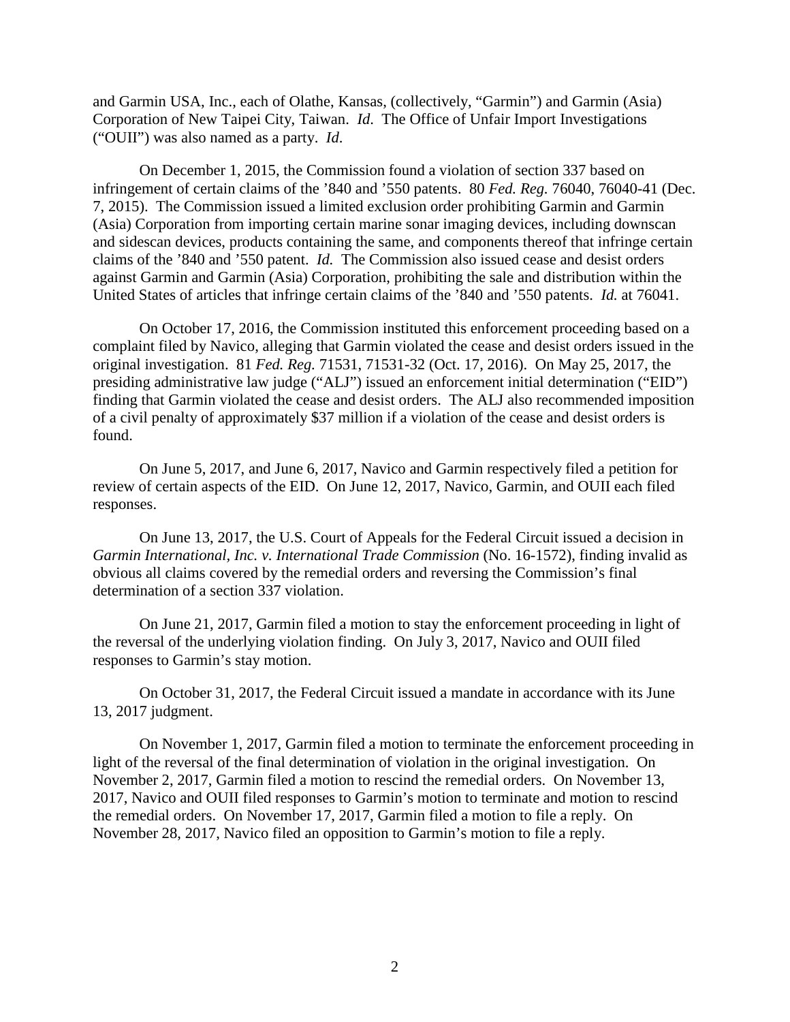and Garmin USA, Inc., each of Olathe, Kansas, (collectively, "Garmin") and Garmin (Asia) Corporation of New Taipei City, Taiwan. *Id*. The Office of Unfair Import Investigations ("OUII") was also named as a party. *Id*.

On December 1, 2015, the Commission found a violation of section 337 based on infringement of certain claims of the '840 and '550 patents. 80 *Fed. Reg.* 76040, 76040-41 (Dec. 7, 2015). The Commission issued a limited exclusion order prohibiting Garmin and Garmin (Asia) Corporation from importing certain marine sonar imaging devices, including downscan and sidescan devices, products containing the same, and components thereof that infringe certain claims of the '840 and '550 patent. *Id.* The Commission also issued cease and desist orders against Garmin and Garmin (Asia) Corporation, prohibiting the sale and distribution within the United States of articles that infringe certain claims of the '840 and '550 patents. *Id.* at 76041.

On October 17, 2016, the Commission instituted this enforcement proceeding based on a complaint filed by Navico, alleging that Garmin violated the cease and desist orders issued in the original investigation. 81 *Fed. Reg.* 71531, 71531-32 (Oct. 17, 2016). On May 25, 2017, the presiding administrative law judge ("ALJ") issued an enforcement initial determination ("EID") finding that Garmin violated the cease and desist orders. The ALJ also recommended imposition of a civil penalty of approximately \$37 million if a violation of the cease and desist orders is found.

On June 5, 2017, and June 6, 2017, Navico and Garmin respectively filed a petition for review of certain aspects of the EID. On June 12, 2017, Navico, Garmin, and OUII each filed responses.

On June 13, 2017, the U.S. Court of Appeals for the Federal Circuit issued a decision in *Garmin International, Inc. v. International Trade Commission* (No. 16-1572), finding invalid as obvious all claims covered by the remedial orders and reversing the Commission's final determination of a section 337 violation.

On June 21, 2017, Garmin filed a motion to stay the enforcement proceeding in light of the reversal of the underlying violation finding. On July 3, 2017, Navico and OUII filed responses to Garmin's stay motion.

On October 31, 2017, the Federal Circuit issued a mandate in accordance with its June 13, 2017 judgment.

On November 1, 2017, Garmin filed a motion to terminate the enforcement proceeding in light of the reversal of the final determination of violation in the original investigation. On November 2, 2017, Garmin filed a motion to rescind the remedial orders. On November 13, 2017, Navico and OUII filed responses to Garmin's motion to terminate and motion to rescind the remedial orders. On November 17, 2017, Garmin filed a motion to file a reply. On November 28, 2017, Navico filed an opposition to Garmin's motion to file a reply.